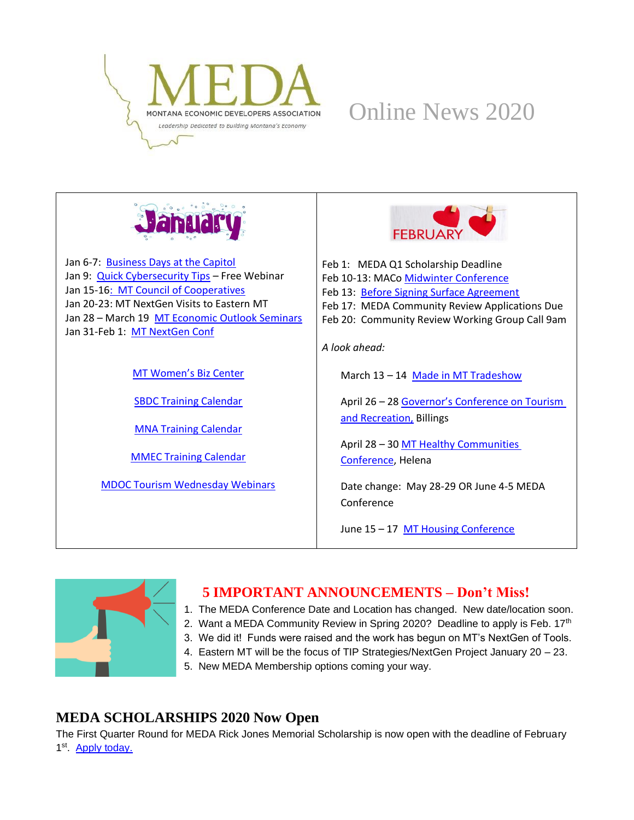

## Online News 2020



Jan 6-7: [Business Days at the Capitol](https://www.montanachamber.com/event-registration/2020-business-days-at-the-capitol/) Jan 9: [Quick Cybersecurity Tips](https://mtsbdc.ecenterdirect.com/events/4357) – Free Webinar Jan 15-1[6: MT Council of Cooperatives](https://matr.net/event/montana-council-of-cooperatives-60th-annual-meeting-january-15-16-2020-great-falls/) Jan 20-23: MT NextGen Visits to Eastern MT Jan 28 – March 19 [MT Economic Outlook Seminars](http://www.economicoutlookseminar.com/) Jan 31-Feb 1: [MT NextGen Conf](https://mtnextgen.com/)

[MT Women's Biz Center](https://www.prosperamt.org/calendar)

[SBDC Training Calendar](http://sbdc.mt.gov/trainings)

[MNA Training Calendar](http://www.mtnonprofit.org/17training/)

[MMEC Training Calendar](https://www.cvent.com/c/calendar/180314d2-3840-480c-9468-df6c286a789b)

[MDOC Tourism Wednesday Webinars](https://register.gotowebinar.com/register/8982407870014068237)



Feb 1: MEDA Q1 Scholarship Deadline Feb 10-13: MACo [Midwinter Conference](http://www.mtcounties.org/events/midwinter-conference/2020-maco-midwinter-conference/) Feb 13: [Before Signing Surface Agreement](https://matr.net/event/energy-summit-things-to-know-before-signing-a-surface-agreement-2-13-billings/) Feb 17: MEDA Community Review Applications Due Feb 20: Community Review Working Group Call 9am *A look ahead:* March 13 – 14 [Made in MT Tradeshow](https://madeinmontanausa.com/TradeShow) April 26 – 28 [Governor's Conference on Tourism](https://marketmt.com/Events/GovernorsConference)  [and Recreation,](https://marketmt.com/Events/GovernorsConference) Billings April 28 – 3[0 MT Healthy Communities](http://healthinfo.montana.edu/mt-healthy-communities/) 

[Conference,](http://healthinfo.montana.edu/mt-healthy-communities/) Helena

Date change: May 28-29 OR June 4-5 MEDA Conference

June 15 - 17 [MT Housing Conference](https://www.nwmt.org/2020-housing-conference/)



#### **5 IMPORTANT ANNOUNCEMENTS – Don't Miss!**

- 1. The MEDA Conference Date and Location has changed. New date/location soon.
- 2. Want a MEDA Community Review in Spring 2020? Deadline to apply is Feb. 17<sup>th</sup>
- 3. We did it! Funds were raised and the work has begun on MT's NextGen of Tools.
- 4. Eastern MT will be the focus of TIP Strategies/NextGen Project January 20 23.
- 5. New MEDA Membership options coming your way.

#### **MEDA SCHOLARSHIPS 2020 Now Open**

The First Quarter Round for MEDA Rick Jones Memorial Scholarship is now open with the deadline of February 1<sup>st</sup>. [Apply today.](https://www.medamembers.org/membership/scholarships)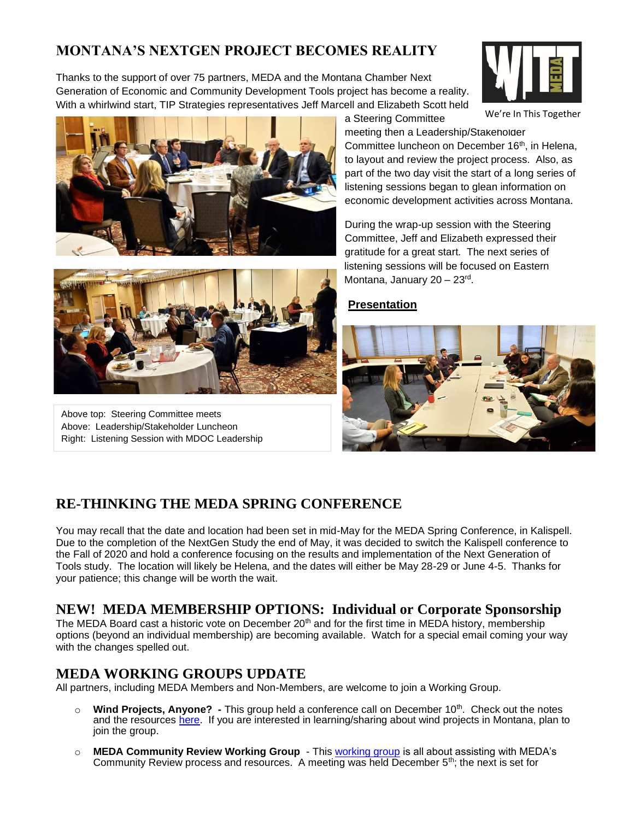#### **MONTANA'S NEXTGEN PROJECT BECOMES REALITY**

Thanks to the support of over 75 partners, MEDA and the Montana Chamber Next Generation of Economic and Community Development Tools project has become a reality. With a whirlwind start, TIP Strategies representatives Jeff Marcell and Elizabeth Scott held



We're In This Together





Above top: Steering Committee meets Above: Leadership/Stakeholder Luncheon Right: Listening Session with MDOC Leadership

meeting then a Leadership/Stakeholder Committee luncheon on December 16<sup>th</sup>, in Helena, to layout and review the project process. Also, as part of the two day visit the start of a long series of listening sessions began to glean information on economic development activities across Montana.

During the wrap-up session with the Steering Committee, Jeff and Elizabeth expressed their gratitude for a great start. The next series of listening sessions will be focused on Eastern Montana, January 20 – 23<sup>rd</sup>.

#### **[Presentation](https://www.medamembers.org/media/userfiles/subsite_48/files/2019-12-16%20MEDA%20Luncheon_FINAL.pdf)**

a Steering Committee



#### **RE-THINKING THE MEDA SPRING CONFERENCE**

You may recall that the date and location had been set in mid-May for the MEDA Spring Conference, in Kalispell. Due to the completion of the NextGen Study the end of May, it was decided to switch the Kalispell conference to the Fall of 2020 and hold a conference focusing on the results and implementation of the Next Generation of Tools study. The location will likely be Helena, and the dates will either be May 28-29 or June 4-5. Thanks for your patience; this change will be worth the wait.

#### **NEW! MEDA MEMBERSHIP OPTIONS: Individual or Corporate Sponsorship**

The MEDA Board cast a historic vote on December 20<sup>th</sup> and for the first time in MEDA history, membership options (beyond an individual membership) are becoming available. Watch for a special email coming your way with the changes spelled out.

#### **MEDA WORKING GROUPS UPDATE**

All partners, including MEDA Members and Non-Members, are welcome to join a Working Group.

- o **Wind Projects, Anyone? -** This group held a conference call on December 10th. Check out the notes and the resources [here.](https://www.medamembers.org/working-groups/wind-project-working-group) If you are interested in learning/sharing about wind projects in Montana, plan to join the group.
- o **MEDA Community Review Working Group** This [working group](https://www.medamembers.org/working-groups/community-review-working-group) is all about assisting with MEDA's Community Review process and resources. A meeting was held December  $5<sup>th</sup>$ ; the next is set for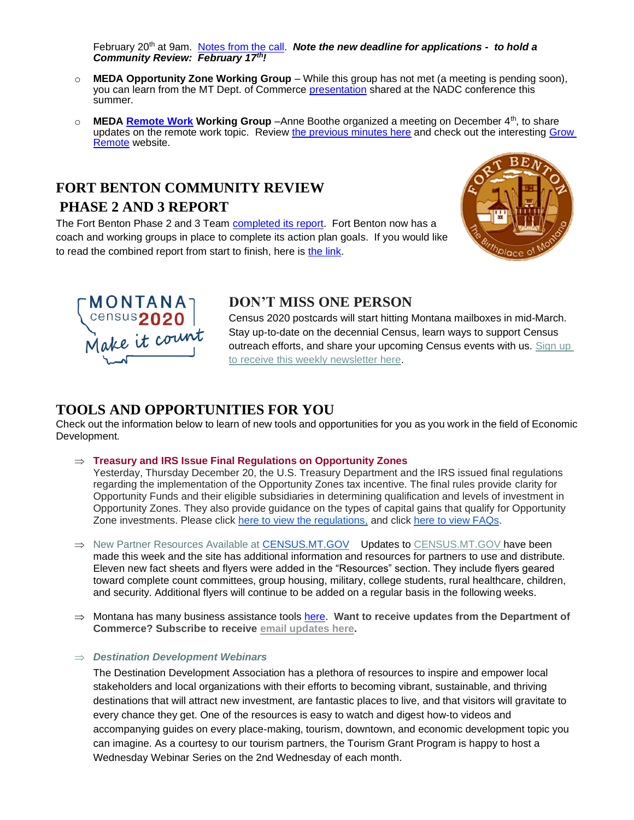February 20<sup>th</sup> at 9am. Notes [from the call.](https://www.medamembers.org/media/userfiles/subsite_48/files/MEDACRWGNotesDec52019.pdf) **Note the new deadline for applications - to hold a** *Community Review: February 17th!*

- o **MEDA Opportunity Zone Working Group** While this group has not met (a meeting is pending soon), you can learn from the MT Dept. of Commerce [presentation](https://www.medamembers.org/media/userfiles/subsite_48/files/2019_07_23%20OZ%20NADC%20Presentation%20Draft1.pdf) shared at the NADC conference this summer.
- o **MEDA [Remote Work](https://www.medamembers.org/working-groups/remote-work/?cat=Remote+Work) Working Group** –Anne Boothe organized a meeting on December 4th, to share updates on the remote work topic. Review [the previous minutes here](https://www.medamembers.org/working-groups/remote-work/p/item/10453/remote-worker-notes-dec-4-2019) and check out the interesting [Grow](https://growremote.ie/)  [Remote](https://growremote.ie/) website.

#### **FORT BENTON COMMUNITY REVIEW PHASE 2 AND 3 REPORT**

The Fort Benton Phase 2 and 3 Team [completed its report.](https://www.medamembers.org/media/userfiles/subsite_48/files/FortBentonPhase2and3Report.pdf) Fort Benton now has a coach and working groups in place to complete its action plan goals. If you would like to read the combined report from start to finish, here is [the link.](https://www.medamembers.org/media/userfiles/subsite_48/files/FortBentonReportPhase12017andPhase22019Combined.pdf)





#### **DON'T MISS ONE PERSON**

Census 2020 postcards will start hitting Montana mailboxes in mid-March. Stay up-to-date on the decennial Census, learn ways to support Census outreach efforts, and share your upcoming Census events with us. Sign up [to receive this weekly newsletter here.](https://lnks.gd/l/eyJhbGciOiJIUzI1NiJ9.eyJidWxsZXRpbl9saW5rX2lkIjoxMDUsInVyaSI6ImJwMjpjbGljayIsImJ1bGxldGluX2lkIjoiMjAxOTEyMTkuMTQ2MDQyMDEiLCJ1cmwiOiJodHRwczovL3B1YmxpYy5nb3ZkZWxpdmVyeS5jb20vYWNjb3VudHMvTVRET0Mvc3Vic2NyaWJlci9uZXc_cXNwPU1URE9DXzIifQ.cEcbY9c4X6lj5JuYOXPx8GevnKaiyd5s4YP6iSolu64/br/73376685644-l)

#### **TOOLS AND OPPORTUNITIES FOR YOU**

Check out the information below to learn of new tools and opportunities for you as you work in the field of Economic Development.

#### **Treasury and IRS Issue Final Regulations on Opportunity Zones**

Yesterday, Thursday December 20, the U.S. Treasury Department and the IRS issued final regulations regarding the implementation of the Opportunity Zones tax incentive. The final rules provide clarity for Opportunity Funds and their eligible subsidiaries in determining qualification and levels of investment in Opportunity Zones. They also provide guidance on the types of capital gains that qualify for Opportunity Zone investments. Please click [here to view the regulations,](https://www.irs.gov/pub/irs-drop/td-9889.pdf) and click [here to view FAQs.](https://home.treasury.gov/system/files/136/Treasury-Opportunity-Zone-Final-Regulations-FAQ-12-19-19.docx)

- $\Rightarrow$  New Partner Resources Available at [CENSUS.MT.GOV](https://lnks.gd/l/eyJhbGciOiJIUzI1NiJ9.eyJidWxsZXRpbl9saW5rX2lkIjoxMDYsInVyaSI6ImJwMjpjbGljayIsImJ1bGxldGluX2lkIjoiMjAxOTEyMTkuMTQ2MDQyMDEiLCJ1cmwiOiJodHRwczovL2xua3MuZ2QvbC9leUpoYkdjaU9pSklVekkxTmlKOS5leUppZFd4c1pYUnBibDlzYVc1clgybGtJam94TURrc0luVnlhU0k2SW1Kd01qcGpiR2xqYXlJc0ltSjFiR3hsZEdsdVgybGtJam9pTWpBeE9URXlNVE11TVRReU9EZzFNekVpTENKMWNtd2lPaUpvZEhSd2N6b3ZMMk5sYVdNdWJYUXVaMjkyTDBObGJuTjFjeTB5TURJd0wxSmxjMjkxY21ObGN5SjkuOHV3MC1mTV9fbW1HdVdOeTBhSlZyM2M3QjVYVHFSUE9zenEyZThOZnJ0cy9ici83MjkyMTE1MzI0NC1sIn0.rAvmdzufE6pDQAZN5nXMIgWxemY0YF62lZFiwS4YAZM/br/73376685644-l) Updates to CENSUS.MT.GOV have been made this week and the site has additional information and resources for partners to use and distribute. Eleven new fact sheets and flyers were added in the "Resources" section. They include flyers geared toward complete count committees, group housing, military, college students, rural healthcare, children, and security. Additional flyers will continue to be added on a regular basis in the following weeks.
- $\Rightarrow$  Montana has many business assistance tools [here.](http://marketmt.com/BusinessAssistance) Want to receive updates from the Department of **Commerce? Subscribe to receive email [updates](https://public.govdelivery.com/accounts/MTDOC/subscriber/new?qsp=MTDOC_2) here.**

#### *Destination Development Webinars*

The Destination Development Association has a plethora of resources to inspire and empower local stakeholders and local organizations with their efforts to becoming vibrant, sustainable, and thriving destinations that will attract new investment, are fantastic places to live, and that visitors will gravitate to every chance they get. One of the resources is easy to watch and digest how-to videos and accompanying guides on every place-making, tourism, downtown, and economic development topic you can imagine. As a courtesy to our tourism partners, the Tourism Grant Program is happy to host a Wednesday Webinar Series on the 2nd Wednesday of each month.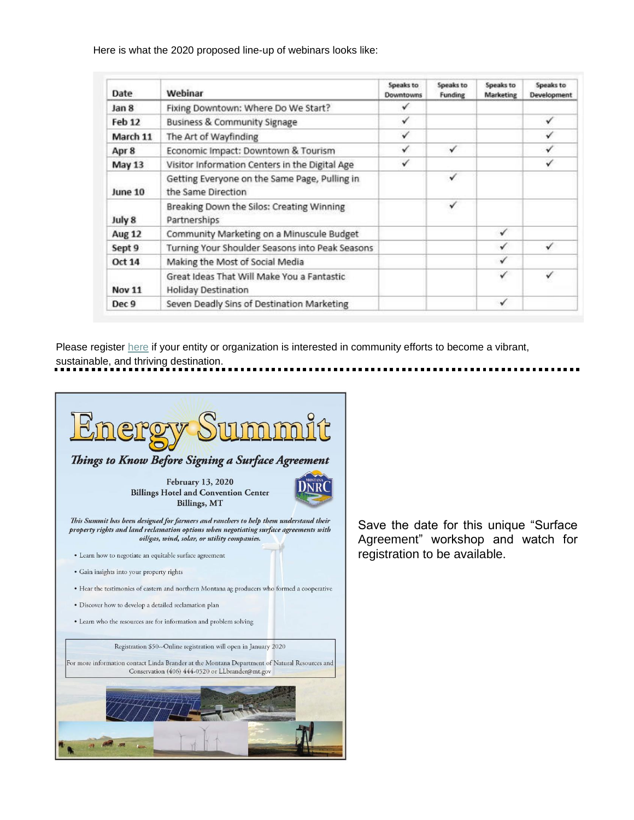Here is what the 2020 proposed line-up of webinars looks like:

| Date          | Webinar                                                                  | Speaks to<br><b>Downtowns</b> | Speaks to<br>Funding | Speaks to<br>Marketing | Speaks to<br>Development |
|---------------|--------------------------------------------------------------------------|-------------------------------|----------------------|------------------------|--------------------------|
| Jan 8         | Fixing Downtown: Where Do We Start?                                      | ✓                             |                      |                        |                          |
| <b>Feb 12</b> | <b>Business &amp; Community Signage</b>                                  | ✓                             |                      |                        | ✓                        |
| March 11      | The Art of Wayfinding                                                    | ✓                             |                      |                        | √                        |
| Apr 8         | Economic Impact: Downtown & Tourism                                      | √                             | √                    |                        | √                        |
| May 13        | Visitor Information Centers in the Digital Age                           | ✓                             |                      |                        | √                        |
| June 10       | Getting Everyone on the Same Page, Pulling in<br>the Same Direction      |                               | √                    |                        |                          |
| July 8        | Breaking Down the Silos: Creating Winning<br>Partnerships                |                               | ✓                    |                        |                          |
| <b>Aug 12</b> | Community Marketing on a Minuscule Budget                                |                               |                      | ✓                      |                          |
| Sept 9        | Turning Your Shoulder Seasons into Peak Seasons                          |                               |                      | √                      |                          |
| <b>Oct 14</b> | Making the Most of Social Media                                          |                               |                      | ✓                      |                          |
| <b>Nov 11</b> | Great Ideas That Will Make You a Fantastic<br><b>Holiday Destination</b> |                               |                      | ✓                      | ✓                        |
| Dec 9         | Seven Deadly Sins of Destination Marketing                               |                               |                      | ✓                      |                          |

Please register [here](https://lnks.gd/l/eyJhbGciOiJIUzI1NiJ9.eyJidWxsZXRpbl9saW5rX2lkIjoxMDcsInVyaSI6ImJwMjpjbGljayIsImJ1bGxldGluX2lkIjoiMjAxOTEyMjAuMTQ2Mzk5OTEiLCJ1cmwiOiJodHRwczovL2F0dGVuZGVlLmdvdG93ZWJpbmFyLmNvbS9yZWdpc3Rlci84OTgyNDA3ODcwMDE0MDY4MjM3In0.uAWw_19i_uhzae6gcU_7gnHeHnh0xgibUoP1K7HqGBg/br/73398737409-l) if your entity or organization is interested in community efforts to become a vibrant, sustainable, and thriving destination.



Save the date for this unique "Surface Agreement" workshop and watch for registration to be available.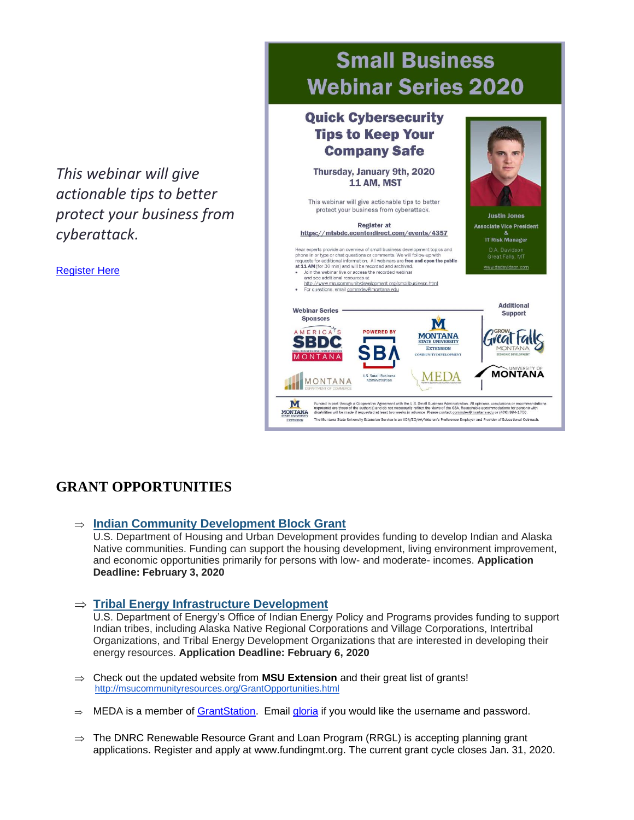*This webinar will give actionable tips to better protect your business from cyberattack.*

[Register Here](https://mtsbdc.ecenterdirect.com/events/4357)

# **Small Business Webinar Series 2020**

#### **Quick Cybersecurity Tips to Keep Your Company Safe** Thursday, January 9th, 2020 11 AM, MST This webinar will give actionable tips to better protect your business from cyberattack. **Justin Jones Register at Associate Vice President** https://mtsbdc.ecenterdirect.com/events/4357 **IT Risk Manager** D.A. Davidson<br>Great Falls, MT ts provide an overview of small busine oment topics and mean experience and overview or simula unsurely as development topics and<br>phone in or type or chat questions or comments. We will follow-up with<br>requests for additional information. All webinars are free and open the publi www.dadavidson.co Join the webinar live or access the recorded webinar and see additional resources at and see additional resources at<br>http://www.msucommunitydevelopment.org/smallbusiness.html<br>For questions, email commdev@montana.edu **Additional Webinar Series Support Sponsors** M AMERICA'S **POWERED BY MONTANA TVCAL FA** SBDC **EXTENSION** MONTANA **MONTANA MEDA** MONTANA M it with the U.S. Small Business Administration. All o<br>.necessarily reflect the views of the SBA. Reasonat opinions, conclusions or recommends<br>able accommodations for persons with<br>tontana.edu or (406) 994-1750. MONTANA The Montana State University Extension Service is an ADA/EO/AA/Veteran's Preference Employer and Provider of Educational Outr

### **GRANT OPPORTUNITIES**

**[Indian Community Development Block Grant](https://ukhmrc.links.govdelivery.com/l/eyJhbGciOiJIUzI1NiJ9.eyJidWxsZXRpbl9saW5rX2lkIjoxMjIsInVyaSI6ImJwMjpjbGljayIsImJ1bGxldGluX2lkIjoiMjAxOTEyMTcuMTQ0NjQ3NDEiLCJ1cmwiOiJodHRwczovL3d3dy5ncmFudHMuZ292L3dlYi9ncmFudHMvc2VhcmNoLWdyYW50cy5odG1sP2tleXdvcmRzPUlDREJHIn0.KN0iRMYXlsRKIIElD6x_u5aLW1mN5yqtY9R9LAyCnGc/br/73265211466-l)**

U.S. Department of Housing and Urban Development provides funding to develop Indian and Alaska Native communities. Funding can support the housing development, living environment improvement, and economic opportunities primarily for persons with low- and moderate- incomes. **Application Deadline: February 3, 2020**

**[Tribal Energy Infrastructure Development](https://ukhmrc.links.govdelivery.com/l/eyJhbGciOiJIUzI1NiJ9.eyJidWxsZXRpbl9saW5rX2lkIjoxMjMsInVyaSI6ImJwMjpjbGljayIsImJ1bGxldGluX2lkIjoiMjAxOTEyMTcuMTQ0NjQ3NDEiLCJ1cmwiOiJodHRwczovL2VlcmUtZXhjaGFuZ2UuZW5lcmd5Lmdvdi9EZWZhdWx0LmFzcHgjRm9hSWRmZTVkY2ZhMy0yNzg2LTRjMDMtYWUyOS1lNzc5MjZlNDZmMzUifQ.B0uphnxrILs7dwwuTGqlb_vtjFfZNpiuasMVFU6oy2Q/br/73265211466-l)**

U.S. Department of Energy's Office of Indian Energy Policy and Programs provides funding to support Indian tribes, including Alaska Native Regional Corporations and Village Corporations, Intertribal Organizations, and Tribal Energy Development Organizations that are interested in developing their energy resources. **Application Deadline: February 6, 2020**

- Check out the updated website from **MSU Extension** and their great list of grants! <http://msucommunityresources.org/GrantOpportunities.html>
- $\Rightarrow$  MEDA is a member of [GrantStation.](https://grantstation.com/index.asp) Email [gloria](mailto:gloria@medamembers.org) if you would like the username and password.
- $\Rightarrow$  The DNRC Renewable Resource Grant and Loan Program (RRGL) is accepting planning grant applications. Register and apply at [www.fundingmt.org.](https://lnks.gd/l/eyJhbGciOiJIUzI1NiJ9.eyJidWxsZXRpbl9saW5rX2lkIjoxMTEsInVyaSI6ImJwMjpjbGljayIsImJ1bGxldGluX2lkIjoiMjAxOTEyMTkuMTQ2MDQyMDEiLCJ1cmwiOiJodHRwczovL3VybGRlZmVuc2UuY29tL3YzL19faHR0cHM6L2xua3MuZ2QvbC9leUpoYkdjaU9pSklVekkxTmlKOS5leUppZFd4c1pYUnBibDlzYVc1clgybGtJam94TURBc0luVnlhU0k2SW1Kd01qcGpiR2xqYXlJc0ltSjFiR3hsZEdsdVgybGtJam9pTWpBeE9URXlNVFl1TVRRek9ETTBOREVpTENKMWNtd2lPaUpvZEhSd09pOHZkM2QzTG1aMWJtUnBibWR0ZEM1dmNtY2lmUS40UTd2bXRWVXFFdXUtU0FXVXlrQ1lybkxXMVRaTDkxbmd2VEhkdktwNVFnL2JyLzczMTYzMzQyNDQ1LWxfXzshIUdhYWJvQSE3b0JlbkswdVVWaHdka3JmZE9Sa1QxSkNNSkFVZ0RESWZwTjRSd1dyRUpuUFVPR2xPS0J5YlRoVWV2a05ibzAlMjQifQ.gD_DxIu1sSmsnXAJLD6G6GsOwDVEKEEo3qb8Lquk2ck/br/73376685644-l) The current grant cycle closes Jan. 31, 2020.